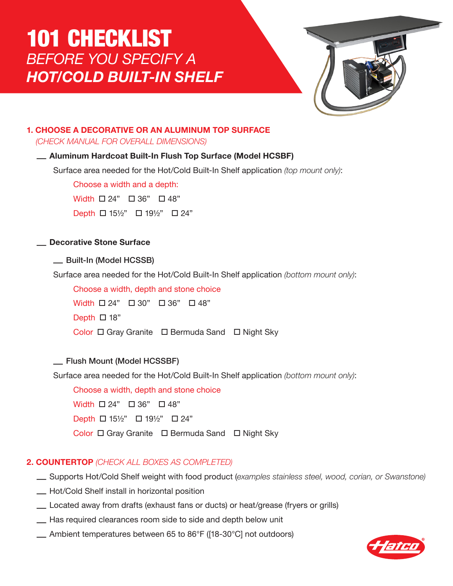# 101 CHECKLIST *BEFORE YOU SPECIFY A HOT/COLD BUILT-IN SHELF*



# **1. CHOOSE A DECORATIVE OR AN ALUMINUM TOP SURFACE**

*(CHECK MANUAL FOR OVERALL DIMENSIONS)*

## — **Aluminum Hardcoat Built-In Flush Top Surface (Model HCSBF)**

Surface area needed for the Hot/Cold Built-In Shelf application *(top mount only)*:

Choose a width and a depth:

Width  $\Box$  24"  $\Box$  36"  $\Box$  48"

 $Depth \ \Box \ 15\frac{1}{2}$ "  $\Box \ 19\frac{1}{2}$ "  $\Box \ 24$ "

## — **Decorative Stone Surface**

## — Built-In (Model HCSSB)

Surface area needed for the Hot/Cold Built-In Shelf application *(bottom mount only)*:

Choose a width, depth and stone choice  $Width$   $\Box$  24"  $\Box$  30"  $\Box$  36"  $\Box$  48" Depth  $\Box$  18" Color □ Gray Granite □ Bermuda Sand □ Night Sky

## — Flush Mount (Model HCSSBF)

Surface area needed for the Hot/Cold Built-In Shelf application *(bottom mount only)*:

Choose a width, depth and stone choice Width  $\Box$  24"  $\Box$  36"  $\Box$  48" Depth  $\Box$  15½"  $\Box$  19½"  $\Box$  24" Color □ Gray Granite □ Bermuda Sand □ Night Sky

## **2. COUNTERTOP** *(CHECK ALL BOXES AS COMPLETED)*

- Supports Hot/Cold Shelf weight with food product (*examples stainless steel, wood, corian, or Swanstone)*
- Hot/Cold Shelf install in horizontal position
- Located away from drafts (exhaust fans or ducts) or heat/grease (fryers or grills)
- Has required clearances room side to side and depth below unit
- Ambient temperatures between 65 to 86°F ([18-30°C] not outdoors)